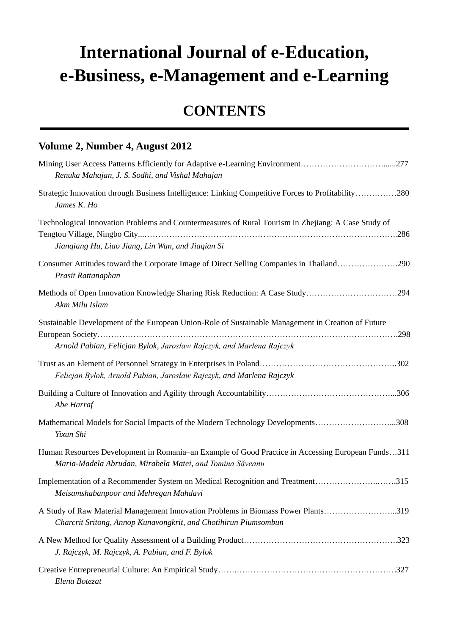## **International Journal of e-Education, e-Business, e-Management and e-Learning**

## **CONTENTS**

## **Volume 2, Number 4, August 2012**

| Mining User Access Patterns Efficiently for Adaptive e-Learning Environment277<br>Renuka Mahajan, J. S. Sodhi, and Vishal Mahajan                                                  |
|------------------------------------------------------------------------------------------------------------------------------------------------------------------------------------|
| Strategic Innovation through Business Intelligence: Linking Competitive Forces to Profitability280<br>James K. Ho                                                                  |
| Technological Innovation Problems and Countermeasures of Rural Tourism in Zhejiang: A Case Study of<br>Jianqiang Hu, Liao Jiang, Lin Wan, and Jiaqian Si                           |
| Consumer Attitudes toward the Corporate Image of Direct Selling Companies in Thailand290<br>Prasit Rattanaphan                                                                     |
| Methods of Open Innovation Knowledge Sharing Risk Reduction: A Case Study294<br>Akm Milu Islam                                                                                     |
| Sustainable Development of the European Union-Role of Sustainable Management in Creation of Future<br>.298<br>Arnold Pabian, Felicjan Bylok, Jarosław Rajczyk, and Marlena Rajczyk |
| Felicjan Bylok, Arnold Pabian, Jarosław Rajczyk, and Marlena Rajczyk                                                                                                               |
| Abe Harraf                                                                                                                                                                         |
| Mathematical Models for Social Impacts of the Modern Technology Developments308<br>Yixun Shi                                                                                       |
| Human Resources Development in Romania–an Example of Good Practice in Accessing European Funds311<br>Maria-Madela Abrudan, Mirabela Matei, and Tomina Săveanu                      |
| Implementation of a Recommender System on Medical Recognition and Treatment315<br>Meisamshabanpoor and Mehregan Mahdavi                                                            |
| A Study of Raw Material Management Innovation Problems in Biomass Power Plants319<br>Charcrit Sritong, Annop Kunavongkrit, and Chotihirun Piumsombun                               |
| J. Rajczyk, M. Rajczyk, A. Pabian, and F. Bylok                                                                                                                                    |
| Elena Botezat                                                                                                                                                                      |